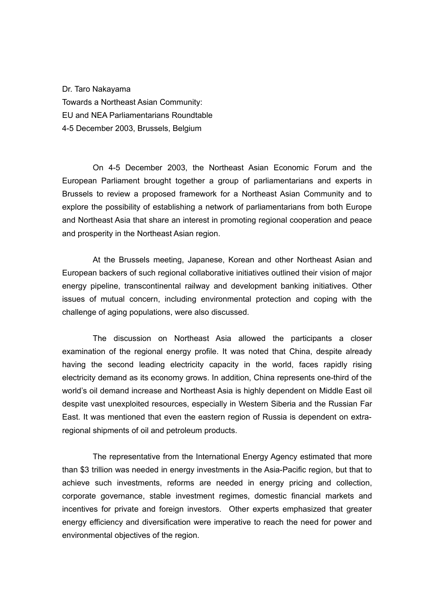Dr. Taro Nakayama Towards a Northeast Asian Community: EU and NEA Parliamentarians Roundtable 4-5 December 2003, Brussels, Belgium

On 4-5 December 2003, the Northeast Asian Economic Forum and the European Parliament brought together a group of parliamentarians and experts in Brussels to review a proposed framework for a Northeast Asian Community and to explore the possibility of establishing a network of parliamentarians from both Europe and Northeast Asia that share an interest in promoting regional cooperation and peace and prosperity in the Northeast Asian region.

At the Brussels meeting, Japanese, Korean and other Northeast Asian and European backers of such regional collaborative initiatives outlined their vision of major energy pipeline, transcontinental railway and development banking initiatives. Other issues of mutual concern, including environmental protection and coping with the challenge of aging populations, were also discussed.

The discussion on Northeast Asia allowed the participants a closer examination of the regional energy profile. It was noted that China, despite already having the second leading electricity capacity in the world, faces rapidly rising electricity demand as its economy grows. In addition, China represents one-third of the world's oil demand increase and Northeast Asia is highly dependent on Middle East oil despite vast unexploited resources, especially in Western Siberia and the Russian Far East. It was mentioned that even the eastern region of Russia is dependent on extraregional shipments of oil and petroleum products.

The representative from the International Energy Agency estimated that more than \$3 trillion was needed in energy investments in the Asia-Pacific region, but that to achieve such investments, reforms are needed in energy pricing and collection, corporate governance, stable investment regimes, domestic financial markets and incentives for private and foreign investors. Other experts emphasized that greater energy efficiency and diversification were imperative to reach the need for power and environmental objectives of the region.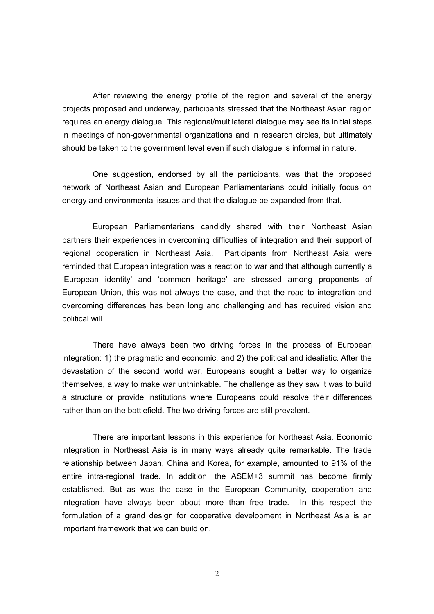After reviewing the energy profile of the region and several of the energy projects proposed and underway, participants stressed that the Northeast Asian region requires an energy dialogue. This regional/multilateral dialogue may see its initial steps in meetings of non-governmental organizations and in research circles, but ultimately should be taken to the government level even if such dialogue is informal in nature.

One suggestion, endorsed by all the participants, was that the proposed network of Northeast Asian and European Parliamentarians could initially focus on energy and environmental issues and that the dialogue be expanded from that.

European Parliamentarians candidly shared with their Northeast Asian partners their experiences in overcoming difficulties of integration and their support of regional cooperation in Northeast Asia. Participants from Northeast Asia were reminded that European integration was a reaction to war and that although currently a 'European identity' and 'common heritage' are stressed among proponents of European Union, this was not always the case, and that the road to integration and overcoming differences has been long and challenging and has required vision and political will.

There have always been two driving forces in the process of European integration: 1) the pragmatic and economic, and 2) the political and idealistic. After the devastation of the second world war, Europeans sought a better way to organize themselves, a way to make war unthinkable. The challenge as they saw it was to build a structure or provide institutions where Europeans could resolve their differences rather than on the battlefield. The two driving forces are still prevalent.

There are important lessons in this experience for Northeast Asia. Economic integration in Northeast Asia is in many ways already quite remarkable. The trade relationship between Japan, China and Korea, for example, amounted to 91% of the entire intra-regional trade. In addition, the ASEM+3 summit has become firmly established. But as was the case in the European Community, cooperation and integration have always been about more than free trade. In this respect the formulation of a grand design for cooperative development in Northeast Asia is an important framework that we can build on.

2